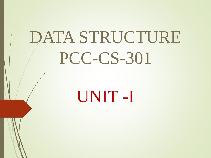# DATA STRUCTURE PCC-CS-301

## UNIT -I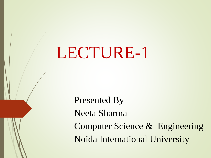LECTURE-1

Presented By Neeta Sharma Computer Science & Engineering Noida International University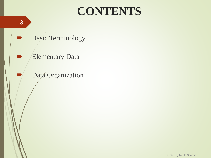### **CONTENTS**

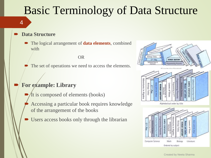### Basic Terminology of Data Structure

**Data Structure**

4

 The logical arrangement of **data elements**, combined with

OR

The set of operations we need to access the elements.

#### **For example: Library**

- It is composed of elements (books)
- Accessing a particular book requires knowledge of the arrangement of the books
- Users access books only through the librarian



Biology

Literature

Math

Ordered by subject

**Computer Science**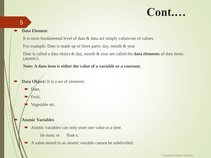#### 5

#### **Data Element**

It is most fundamental level of data & data are simply values/set of values.

For example: Date is made up of three parts: day, month & year

Date is called a data object & day, month & year are called the **data elements** of data items (atomic).

**Note: A data item is either the value of a variable or a constant.** 

- Data Object: It is a set of elements.
	- Date,

Fruit,

Vegetable etc.

#### **Atomic Variables**

Atomic variables can only store one value at a time.

int num; or float s;

A value stored in an atomic variable cannot be subdivided.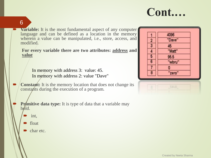#### 6

**Variable:** It is the most fundamental aspect of any computer language and can be defined as a location in the memory wherein a value can be manipulated, i.e., store, access, and modified.

**For every variable there are two attributes: address and value**

In memory with address 3: value: 45. In memory with address 2: value "Dave"

**Constant:** It is the memory location that does not change its constants during the execution of a program.

**Primitive data type:** It is type of data that a variable may  $h$ <sub>*b*</sub> $d$ <sub>*l*</sub> $d$ 

- int,
- float
- char etc.

|               | 4096   |
|---------------|--------|
|               | "Dave" |
| $\frac{2}{3}$ | 45     |
|               | "Matt" |
| 5             | 95.5   |
| 6             | "wbru" |
|               |        |
|               | "zero" |

| the property of the control of the con-<br>come and the same |
|--------------------------------------------------------------|
|                                                              |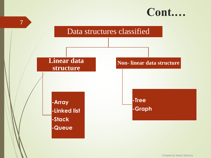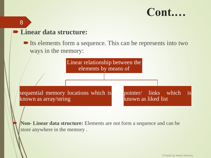#### **Linear data structure:**

8

Its elements form a sequence. This can be represents into two ways in the memory:



 **Non- Linear data structure:** Elements are not form a sequence and can be store anywhere in the memory .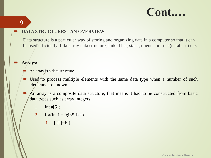#### **DATA STRUCTURES - AN OVERVIEW**

Data structure is a particular way of storing and organizing data in a computer so that it can be used efficiently. Like array data structure, linked list, stack, queue and tree (database) etc.

#### **Arrays:**

9

- An array is a data structure
- $\blacktriangleright$  Used to process multiple elements with the same data type when a number of such elements are known.
- An array is a composite data structure; that means it had to be constructed from basic data types such as array integers.
	- 1. int a[5];
	- 2. for(int i =  $0; i < 5; i++)$ 
		- 1.  ${a[i]=i; }$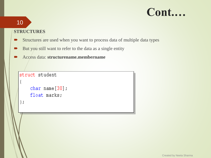### 10

#### **STRUCTURES**

- Structures are used when you want to process data of multiple data types
- But you still want to refer to the data as a single entity
- Access data: **structurename.membername**

```
struct student
    char name[30];
    float marks;
\} ;
```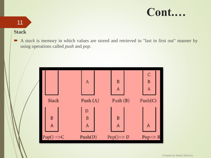### 11

#### **Stack**

A *stack* is memory in which values are stored and retrieved in "last in first out" manner by using operations called *push* and *pop*.

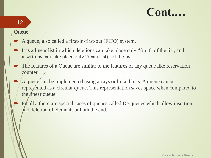#### **Queue**

12

- A queue, also called a first-in-first-out (FIFO) system.
- It is a linear list in which deletions can take place only "front" of the list, and insertions can take place only "rear (last)" of the list.
- The features of a Queue are similar to the features of any queue like reservation counter.
- A queue can be implemented using arrays or linked lists. A queue can be represented as a circular queue. This representation saves space when compared to the *linear* queue.
- Finally, there are special cases of queues called De-queues which allow insertion and deletion of elements at both the end.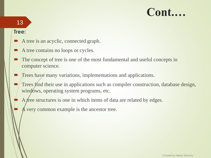#### 13

#### **Tree:**

- A tree is an acyclic, connected graph.
- A tree contains no loops or cycles.
- The concept of tree is one of the most fundamental and useful concepts in computer science.
- Trees have many variations, implementations and applications.
- Trees find their use in applications such as compiler construction, database design, windows, operating system programs, etc.
- A free structures is one in which items of data are related by edges.
	- A very common example is the ancestor tree.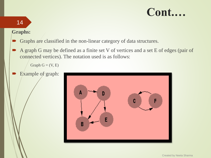#### **Graphs:**

14

- Graphs are classified in the non-linear category of data structures.
- A graph G may be defined as a finite set V of vertices and a set E of edges (pair of connected vertices). The notation used is as follows:

Graph  $G = (V, E)$